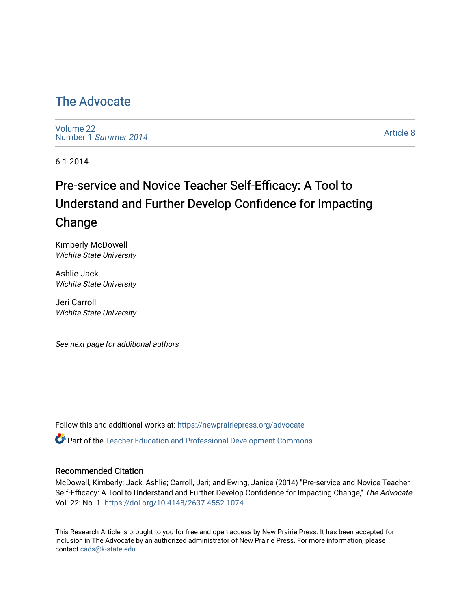## [The Advocate](https://newprairiepress.org/advocate)

[Volume 22](https://newprairiepress.org/advocate/vol22) [Number 1](https://newprairiepress.org/advocate/vol22/iss1) Summer 2014

[Article 8](https://newprairiepress.org/advocate/vol22/iss1/8) 

6-1-2014

# Pre-service and Novice Teacher Self-Efficacy: A Tool to Understand and Further Develop Confidence for Impacting Change

Kimberly McDowell Wichita State University

Ashlie Jack Wichita State University

Jeri Carroll Wichita State University

See next page for additional authors

Follow this and additional works at: [https://newprairiepress.org/advocate](https://newprairiepress.org/advocate?utm_source=newprairiepress.org%2Fadvocate%2Fvol22%2Fiss1%2F8&utm_medium=PDF&utm_campaign=PDFCoverPages) 

Part of the [Teacher Education and Professional Development Commons](http://network.bepress.com/hgg/discipline/803?utm_source=newprairiepress.org%2Fadvocate%2Fvol22%2Fiss1%2F8&utm_medium=PDF&utm_campaign=PDFCoverPages) 

#### Recommended Citation

McDowell, Kimberly; Jack, Ashlie; Carroll, Jeri; and Ewing, Janice (2014) "Pre-service and Novice Teacher Self-Efficacy: A Tool to Understand and Further Develop Confidence for Impacting Change," The Advocate: Vol. 22: No. 1.<https://doi.org/10.4148/2637-4552.1074>

This Research Article is brought to you for free and open access by New Prairie Press. It has been accepted for inclusion in The Advocate by an authorized administrator of New Prairie Press. For more information, please contact [cads@k-state.edu](mailto:cads@k-state.edu).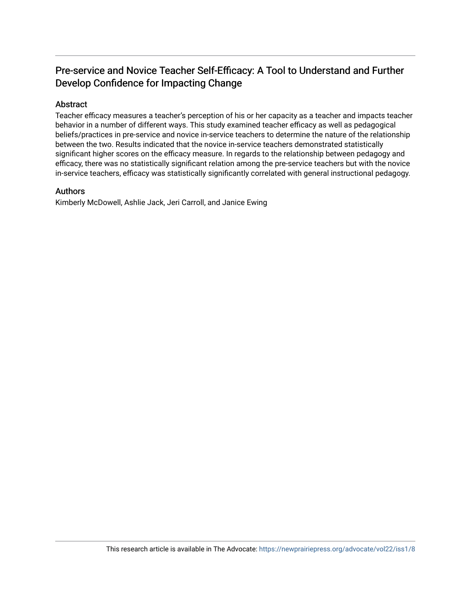#### Pre-service and Novice Teacher Self-Efficacy: A Tool to Understand and Further Develop Confidence for Impacting Change

#### Abstract

Teacher efficacy measures a teacher's perception of his or her capacity as a teacher and impacts teacher behavior in a number of different ways. This study examined teacher efficacy as well as pedagogical beliefs/practices in pre-service and novice in-service teachers to determine the nature of the relationship between the two. Results indicated that the novice in-service teachers demonstrated statistically significant higher scores on the efficacy measure. In regards to the relationship between pedagogy and efficacy, there was no statistically significant relation among the pre-service teachers but with the novice in-service teachers, efficacy was statistically significantly correlated with general instructional pedagogy.

#### Authors

Kimberly McDowell, Ashlie Jack, Jeri Carroll, and Janice Ewing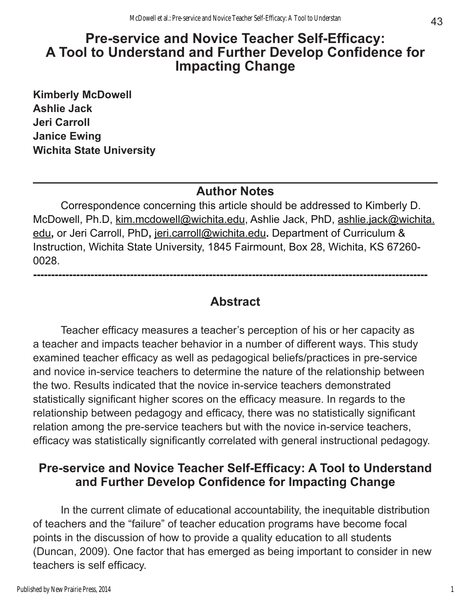# **Pre-service and Novice Teacher Self-Efficacy: A Tool to Understand and Further Develop Confidence for Impacting Change**

**Kimberly McDowell Ashlie Jack Jeri Carroll Janice Ewing Wichita State University**

#### **Author Notes**

Correspondence concerning this article should be addressed to Kimberly D. McDowell, Ph.D, [kim.mcdowell@wichita.edu,](mailto:kim.mcdowell@wichita.edu) Ashlie Jack, PhD, [ashlie.jack@wichita.](mailto:ashlie.jack@wichita.edu) [edu](mailto:ashlie.jack@wichita.edu)**,** or Jeri Carroll, PhD**,** [jeri.carroll@wichita.edu](mailto:jeri.carroll@wichita.edu)**.** Department of Curriculum & Instruction, Wichita State University, 1845 Fairmount, Box 28, Wichita, KS 67260- 0028.

## **Abstract**

**--------------------------------------------------------------------------------------------------------------**

Teacher efficacy measures a teacher's perception of his or her capacity as a teacher and impacts teacher behavior in a number of different ways. This study examined teacher efficacy as well as pedagogical beliefs/practices in pre-service and novice in-service teachers to determine the nature of the relationship between the two. Results indicated that the novice in-service teachers demonstrated statistically significant higher scores on the efficacy measure. In regards to the relationship between pedagogy and efficacy, there was no statistically significant relation among the pre-service teachers but with the novice in-service teachers, efficacy was statistically significantly correlated with general instructional pedagogy.

# **Pre-service and Novice Teacher Self-Efficacy: A Tool to Understand and Further Develop Confidence for Impacting Change**

In the current climate of educational accountability, the inequitable distribution of teachers and the "failure" of teacher education programs have become focal points in the discussion of how to provide a quality education to all students (Duncan, 2009). One factor that has emerged as being important to consider in new teachers is self efficacy.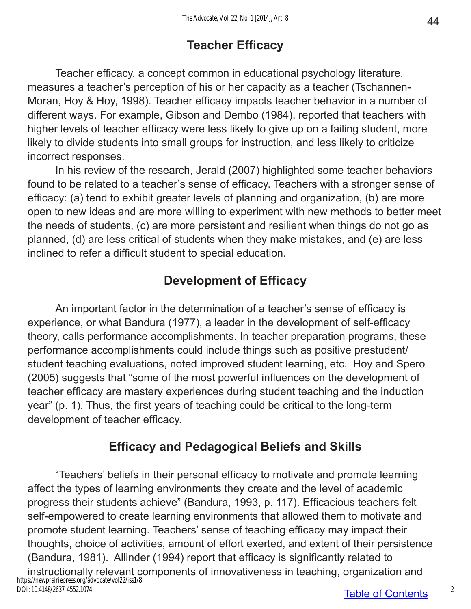# **Teacher Efficacy**

Teacher efficacy, a concept common in educational psychology literature, measures a teacher's perception of his or her capacity as a teacher (Tschannen-Moran, Hoy & Hoy, 1998). Teacher efficacy impacts teacher behavior in a number of different ways. For example, Gibson and Dembo (1984), reported that teachers with higher levels of teacher efficacy were less likely to give up on a failing student, more likely to divide students into small groups for instruction, and less likely to criticize incorrect responses.

In his review of the research, Jerald (2007) highlighted some teacher behaviors found to be related to a teacher's sense of efficacy. Teachers with a stronger sense of efficacy: (a) tend to exhibit greater levels of planning and organization, (b) are more open to new ideas and are more willing to experiment with new methods to better meet the needs of students, (c) are more persistent and resilient when things do not go as planned, (d) are less critical of students when they make mistakes, and (e) are less inclined to refer a difficult student to special education.

# **Development of Efficacy**

An important factor in the determination of a teacher's sense of efficacy is experience, or what Bandura (1977), a leader in the development of self-efficacy theory, calls performance accomplishments. In teacher preparation programs, these performance accomplishments could include things such as positive prestudent/ student teaching evaluations, noted improved student learning, etc. Hoy and Spero (2005) suggests that "some of the most powerful influences on the development of teacher efficacy are mastery experiences during student teaching and the induction year" (p. 1). Thus, the first years of teaching could be critical to the long-term development of teacher efficacy.

# **Efficacy and Pedagogical Beliefs and Skills**

"Teachers' beliefs in their personal efficacy to motivate and promote learning affect the types of learning environments they create and the level of academic progress their students achieve" (Bandura, 1993, p. 117). Efficacious teachers felt self-empowered to create learning environments that allowed them to motivate and promote student learning. Teachers' sense of teaching efficacy may impact their thoughts, choice of activities, amount of effort exerted, and extent of their persistence (Bandura, 1981). Allinder (1994) report that efficacy is significantly related to instructionally relevant components of innovativeness in teaching, organization and https://newprairiepress.org/advocate/vol22/iss1/8 DOI: 10.4148/2637-4552.1074

2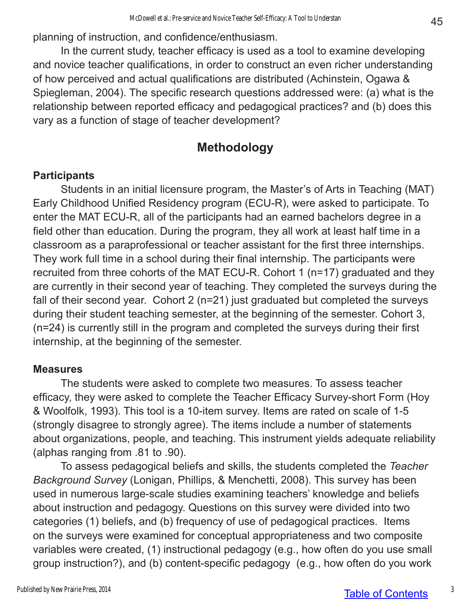planning of instruction, and confidence/enthusiasm.

In the current study, teacher efficacy is used as a tool to examine developing and novice teacher qualifications, in order to construct an even richer understanding of how perceived and actual qualifications are distributed (Achinstein, Ogawa & Spiegleman, 2004). The specific research questions addressed were: (a) what is the relationship between reported efficacy and pedagogical practices? and (b) does this vary as a function of stage of teacher development?

## **Methodology**

#### **Participants**

Students in an initial licensure program, the Master's of Arts in Teaching (MAT) Early Childhood Unified Residency program (ECU-R), were asked to participate. To enter the MAT ECU-R, all of the participants had an earned bachelors degree in a field other than education. During the program, they all work at least half time in a classroom as a paraprofessional or teacher assistant for the first three internships. They work full time in a school during their final internship. The participants were recruited from three cohorts of the MAT ECU-R. Cohort 1 (n=17) graduated and they are currently in their second year of teaching. They completed the surveys during the fall of their second year. Cohort 2 (n=21) just graduated but completed the surveys during their student teaching semester, at the beginning of the semester. Cohort 3, (n=24) is currently still in the program and completed the surveys during their first internship, at the beginning of the semester.

#### **Measures**

The students were asked to complete two measures. To assess teacher efficacy, they were asked to complete the Teacher Efficacy Survey-short Form (Hoy & Woolfolk, 1993). This tool is a 10-item survey. Items are rated on scale of 1-5 (strongly disagree to strongly agree). The items include a number of statements about organizations, people, and teaching. This instrument yields adequate reliability (alphas ranging from .81 to .90).

To assess pedagogical beliefs and skills, the students completed the *Teacher Background Survey* (Lonigan, Phillips, & Menchetti, 2008). This survey has been used in numerous large-scale studies examining teachers' knowledge and beliefs about instruction and pedagogy. Questions on this survey were divided into two categories (1) beliefs, and (b) frequency of use of pedagogical practices. Items on the surveys were examined for conceptual appropriateness and two composite variables were created, (1) instructional pedagogy (e.g., how often do you use small group instruction?), and (b) content-specific pedagogy (e.g., how often do you work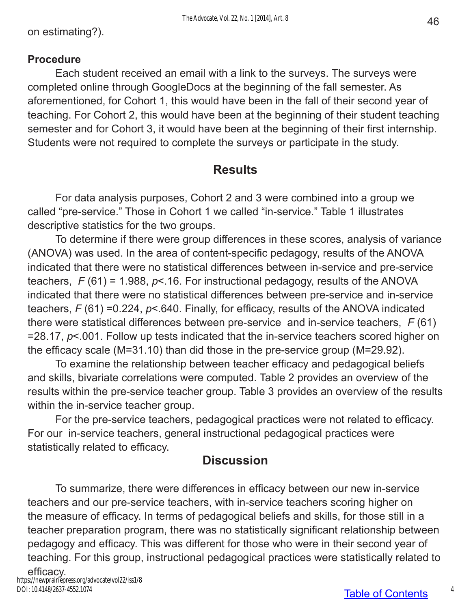#### **Procedure**

Each student received an email with a link to the surveys. The surveys were completed online through GoogleDocs at the beginning of the fall semester. As aforementioned, for Cohort 1, this would have been in the fall of their second year of teaching. For Cohort 2, this would have been at the beginning of their student teaching semester and for Cohort 3, it would have been at the beginning of their first internship. Students were not required to complete the surveys or participate in the study.

#### **Results**

For data analysis purposes, Cohort 2 and 3 were combined into a group we called "pre-service." Those in Cohort 1 we called "in-service." Table 1 illustrates descriptive statistics for the two groups.

To determine if there were group differences in these scores, analysis of variance (ANOVA) was used. In the area of content-specific pedagogy, results of the ANOVA indicated that there were no statistical differences between in-service and pre-service teachers, *F* (61) = 1.988, *p*<.16. For instructional pedagogy, results of the ANOVA indicated that there were no statistical differences between pre-service and in-service teachers, *F* (61) =0.224, *p*<.640. Finally, for efficacy, results of the ANOVA indicated there were statistical differences between pre-service and in-service teachers, *F* (61) =28.17, *p*<.001. Follow up tests indicated that the in-service teachers scored higher on the efficacy scale (M=31.10) than did those in the pre-service group (M=29.92).

To examine the relationship between teacher efficacy and pedagogical beliefs and skills, bivariate correlations were computed. Table 2 provides an overview of the results within the pre-service teacher group. Table 3 provides an overview of the results within the in-service teacher group.

For the pre-service teachers, pedagogical practices were not related to efficacy. For our in-service teachers, general instructional pedagogical practices were statistically related to efficacy.

### **Discussion**

To summarize, there were differences in efficacy between our new in-service teachers and our pre-service teachers, with in-service teachers scoring higher on the measure of efficacy. In terms of pedagogical beliefs and skills, for those still in a teacher preparation program, there was no statistically significant relationship between pedagogy and efficacy. This was different for those who were in their second year of teaching. For this group, instructional pedagogical practices were statistically related to

efficacy. https://newprairiepress.org/advocate/vol22/iss1/8 DOI: 10.4148/2637-4552.1074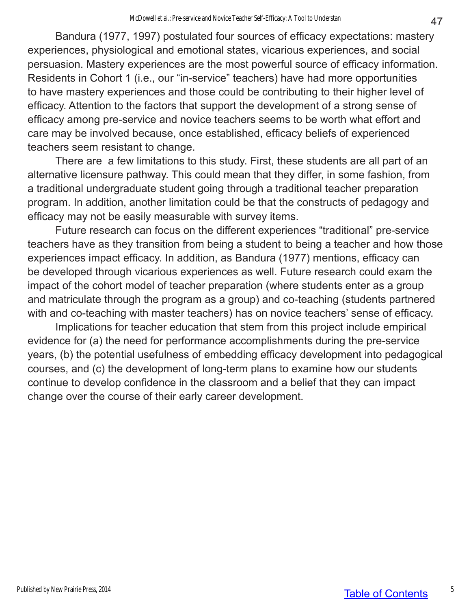Bandura (1977, 1997) postulated four sources of efficacy expectations: mastery experiences, physiological and emotional states, vicarious experiences, and social persuasion. Mastery experiences are the most powerful source of efficacy information. Residents in Cohort 1 (i.e., our "in-service" teachers) have had more opportunities to have mastery experiences and those could be contributing to their higher level of efficacy. Attention to the factors that support the development of a strong sense of efficacy among pre-service and novice teachers seems to be worth what effort and care may be involved because, once established, efficacy beliefs of experienced teachers seem resistant to change.

There are a few limitations to this study. First, these students are all part of an alternative licensure pathway. This could mean that they differ, in some fashion, from a traditional undergraduate student going through a traditional teacher preparation program. In addition, another limitation could be that the constructs of pedagogy and efficacy may not be easily measurable with survey items.

Future research can focus on the different experiences "traditional" pre-service teachers have as they transition from being a student to being a teacher and how those experiences impact efficacy. In addition, as Bandura (1977) mentions, efficacy can be developed through vicarious experiences as well. Future research could exam the impact of the cohort model of teacher preparation (where students enter as a group and matriculate through the program as a group) and co-teaching (students partnered with and co-teaching with master teachers) has on novice teachers' sense of efficacy.

Implications for teacher education that stem from this project include empirical evidence for (a) the need for performance accomplishments during the pre-service years, (b) the potential usefulness of embedding efficacy development into pedagogical courses, and (c) the development of long-term plans to examine how our students continue to develop confidence in the classroom and a belief that they can impact change over the course of their early career development.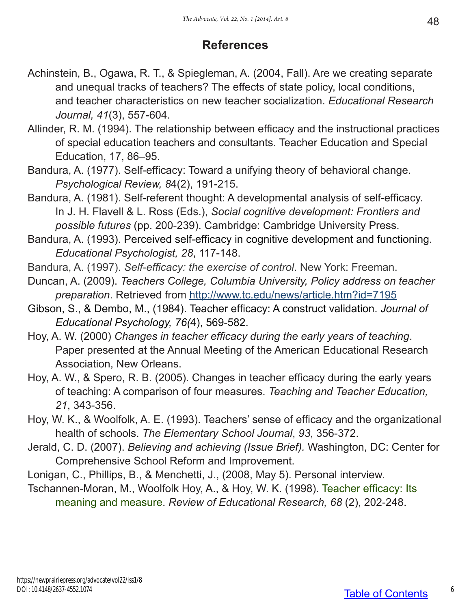## **References**

- Achinstein, B., Ogawa, R. T., & Spiegleman, A. (2004, Fall). Are we creating separate and unequal tracks of teachers? The effects of state policy, local conditions, and teacher characteristics on new teacher socialization. *Educational Research Journal, 41*(3), 557-604.
- Allinder, R. M. (1994). The relationship between efficacy and the instructional practices of special education teachers and consultants. Teacher Education and Special Education, 17, 86–95.
- Bandura, A. (1977). Self-efficacy: Toward a unifying theory of behavioral change. *Psychological Review, 8*4(2), 191-215.
- Bandura, A. (1981). Self-referent thought: A developmental analysis of self-efficacy. In J. H. Flavell & L. Ross (Eds.), *Social cognitive development: Frontiers and possible futures* (pp. 200-239). Cambridge: Cambridge University Press.
- Bandura, A. (1993). Perceived self-efficacy in cognitive development and functioning. *Educational Psychologist, 28*, 117-148.
- Bandura, A. (1997). *Self-efficacy: the exercise of control*. New York: Freeman.
- Duncan, A. (2009). *Teachers College, Columbia University, Policy address on teacher preparation*. Retrieved from http://www.tc.edu/news/article.htm?id=7195
- Gibson, S., & Dembo, M., (1984). Teacher efficacy: A construct validation. *Journal of Educational Psychology, 76(*4), 569-582.
- Hoy, A. W. (2000) *Changes in teacher efficacy during the early years of teaching*. Paper presented at the Annual Meeting of the American Educational Research Association, New Orleans.
- Hoy, A. W., & Spero, R. B. (2005). Changes in teacher efficacy during the early years of teaching: A comparison of four measures. *Teaching and Teacher Education, 21*, 343-356.
- Hoy, W. K., & Woolfolk, A. E. (1993). Teachers' sense of efficacy and the organizational health of schools. *The Elementary School Journal*, *93*, 356-372.
- Jerald, C. D. (2007). *Believing and achieving (Issue Brief).* Washington, DC: Center for Comprehensive School Reform and Improvement.
- Lonigan, C., Phillips, B., & Menchetti, J., (2008, May 5). Personal interview.
- Tschannen-Moran, M., Woolfolk Hoy, A., & Hoy, W. K. (1998). Teacher efficacy: Its meaning and measure. *Review of Educational Research, 68* (2), 202-248.